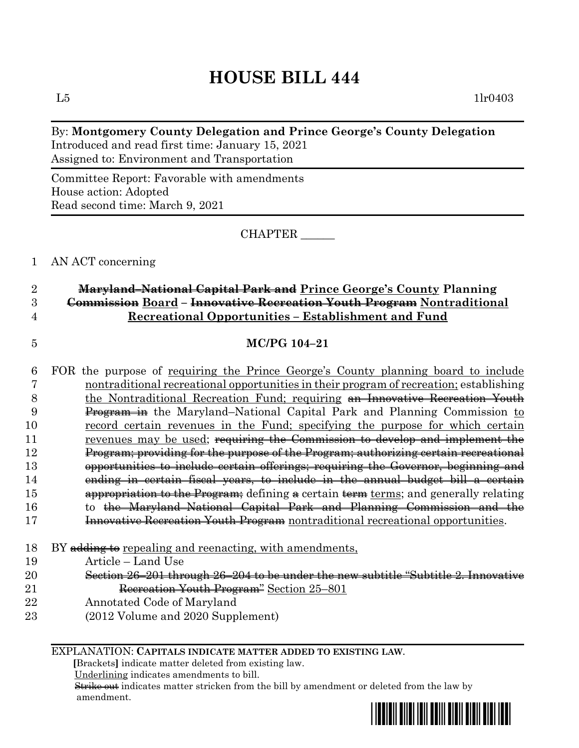# **HOUSE BILL 444**

 $L5$  1lr0403

### By: **Montgomery County Delegation and Prince George's County Delegation** Introduced and read first time: January 15, 2021 Assigned to: Environment and Transportation

Committee Report: Favorable with amendments House action: Adopted Read second time: March 9, 2021

CHAPTER \_\_\_\_\_\_

1 AN ACT concerning

### 2 **Maryland–National Capital Park and Prince George's County Planning**  3 **Commission Board – Innovative Recreation Youth Program Nontraditional**  4 **Recreational Opportunities – Establishment and Fund**

### 5 **MC/PG 104–21**

 FOR the purpose of requiring the Prince George's County planning board to include nontraditional recreational opportunities in their program of recreation; establishing 8 the Nontraditional Recreation Fund; requiring an Innovative Recreation Youth Program in the Maryland–National Capital Park and Planning Commission to record certain revenues in the Fund; specifying the purpose for which certain revenues may be used; requiring the Commission to develop and implement the Program; providing for the purpose of the Program; authorizing certain recreational opportunities to include certain offerings; requiring the Governor, beginning and ending in certain fiscal years, to include in the annual budget bill a certain 15 appropriation to the Program; defining a certain term terms; and generally relating 16 to the Maryland–National Capital Park and Planning Commission and the **Innovative Recreation Youth Program** nontraditional recreational opportunities. 18 BY adding to repealing and reenacting, with amendments, Article – Land Use

- 20 Section 26–201 through 26–204 to be under the new subtitle "Subtitle 2. Innovative 21 Recreation Youth Program<sup>2</sup> Section 25-801
- 22 Annotated Code of Maryland
- 23 (2012 Volume and 2020 Supplement)

### EXPLANATION: **CAPITALS INDICATE MATTER ADDED TO EXISTING LAW**.

 **[**Brackets**]** indicate matter deleted from existing law.

Underlining indicates amendments to bill.

 Strike out indicates matter stricken from the bill by amendment or deleted from the law by amendment.

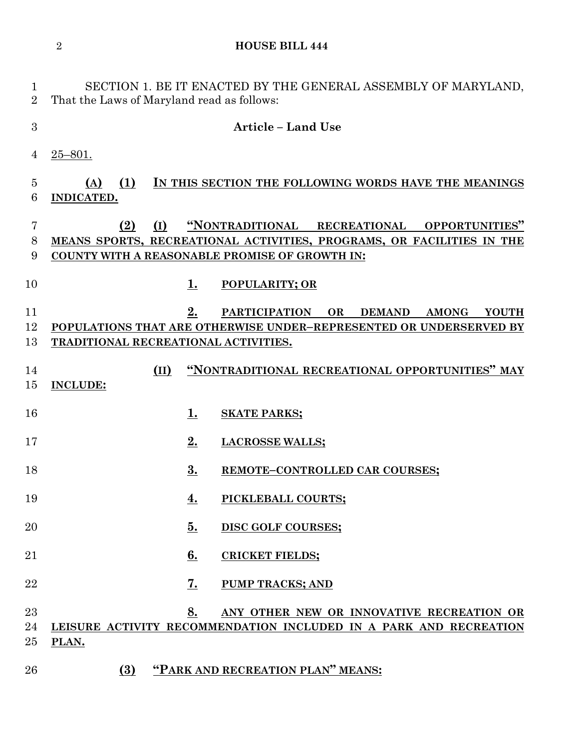**HOUSE BILL 444**

| $\mathbf 1$<br>$\overline{2}$ | That the Laws of Maryland read as follows: |                 | SECTION 1. BE IT ENACTED BY THE GENERAL ASSEMBLY OF MARYLAND,                                                                                                                    |
|-------------------------------|--------------------------------------------|-----------------|----------------------------------------------------------------------------------------------------------------------------------------------------------------------------------|
| 3                             |                                            |                 | <b>Article – Land Use</b>                                                                                                                                                        |
| 4                             | $25 - 801.$                                |                 |                                                                                                                                                                                  |
| $\overline{5}$<br>6           | (1)<br>(A)<br>INDICATED.                   |                 | IN THIS SECTION THE FOLLOWING WORDS HAVE THE MEANINGS                                                                                                                            |
| 7<br>8<br>9                   | (I)<br>(2)                                 |                 | "NONTRADITIONAL RECREATIONAL<br><b>OPPORTUNITIES"</b><br>MEANS SPORTS, RECREATIONAL ACTIVITIES, PROGRAMS, OR FACILITIES IN THE<br>COUNTY WITH A REASONABLE PROMISE OF GROWTH IN: |
| 10<br>11<br>12<br>13          | TRADITIONAL RECREATIONAL ACTIVITIES.       | <u>1.</u><br>2. | <b>POPULARITY; OR</b><br><b>PARTICIPATION</b><br>OR<br><b>DEMAND</b><br><b>AMONG</b><br><b>YOUTH</b><br>POPULATIONS THAT ARE OTHERWISE UNDER-REPRESENTED OR UNDERSERVED BY       |
| 14<br>15                      | (II)<br><b>INCLUDE:</b>                    |                 | "NONTRADITIONAL RECREATIONAL OPPORTUNITIES" MAY                                                                                                                                  |
| 16                            |                                            | 1.              | <b>SKATE PARKS;</b>                                                                                                                                                              |
| 17                            |                                            | 2.              | <b>LACROSSE WALLS;</b>                                                                                                                                                           |
| 18                            |                                            | 3.              | REMOTE-CONTROLLED CAR COURSES;                                                                                                                                                   |
| 19                            |                                            | 4.              | PICKLEBALL COURTS;                                                                                                                                                               |
| $\overline{20}$               |                                            | 5.              | DISC GOLF COURSES;                                                                                                                                                               |
| 21                            |                                            | 6.              | <b>CRICKET FIELDS;</b>                                                                                                                                                           |
| 22                            |                                            | <u>7.</u>       | <b>PUMP TRACKS; AND</b>                                                                                                                                                          |
| 23<br>24<br>$25\,$            | PLAN.                                      | 8.              | ANY OTHER NEW OR INNOVATIVE RECREATION OR<br>LEISURE ACTIVITY RECOMMENDATION INCLUDED IN A PARK AND RECREATION                                                                   |
| 26                            | (3)                                        |                 | "PARK AND RECREATION PLAN" MEANS:                                                                                                                                                |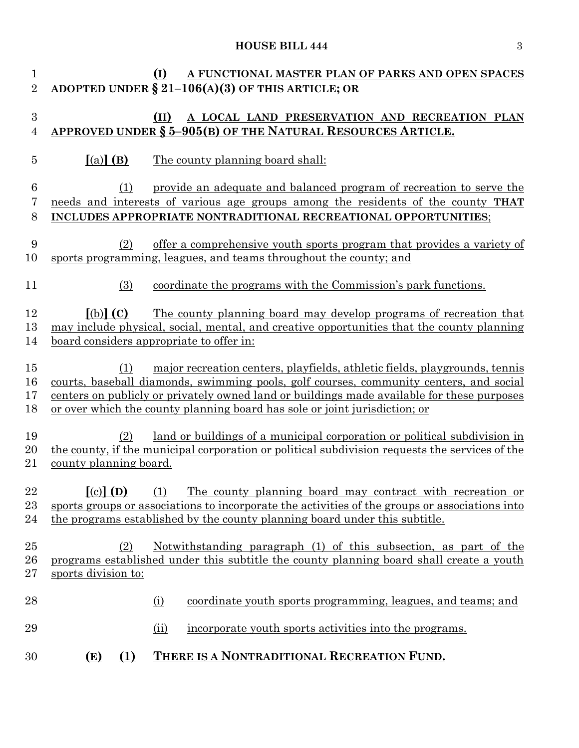# **HOUSE BILL 444** 3

| $\mathbf{1}$<br>$\overline{2}$ |                                                                              | (I)<br>A FUNCTIONAL MASTER PLAN OF PARKS AND OPEN SPACES<br><u>ADOPTED UNDER § 21-106(A)(3) OF THIS ARTICLE; OR</u>                                                                                                                                                                                                                              |
|--------------------------------|------------------------------------------------------------------------------|--------------------------------------------------------------------------------------------------------------------------------------------------------------------------------------------------------------------------------------------------------------------------------------------------------------------------------------------------|
| 3<br>4                         |                                                                              | A LOCAL LAND PRESERVATION AND RECREATION PLAN<br>(II)<br>APPROVED UNDER § 5-905(B) OF THE NATURAL RESOURCES ARTICLE.                                                                                                                                                                                                                             |
| 5                              | $(a)$ (B)                                                                    | The county planning board shall:                                                                                                                                                                                                                                                                                                                 |
| 6<br>7                         | (1)                                                                          | provide an adequate and balanced program of recreation to serve the<br>needs and interests of various age groups among the residents of the county THAT                                                                                                                                                                                          |
| 8                              |                                                                              | INCLUDES APPROPRIATE NONTRADITIONAL RECREATIONAL OPPORTUNITIES;                                                                                                                                                                                                                                                                                  |
| 9<br>10                        | (2)                                                                          | offer a comprehensive youth sports program that provides a variety of<br>sports programming, leagues, and teams throughout the county; and                                                                                                                                                                                                       |
| 11                             | (3)                                                                          | coordinate the programs with the Commission's park functions.                                                                                                                                                                                                                                                                                    |
| 12<br>13<br>14                 | $\lceil$ (b) $\rceil$ (C)<br><u>board considers appropriate to offer in:</u> | <u>The county planning board may develop programs of recreation that</u><br>may include physical, social, mental, and creative opportunities that the county planning                                                                                                                                                                            |
| 15<br>16<br>17<br>18           | (1)                                                                          | major recreation centers, playfields, athletic fields, playgrounds, tennis<br>courts, baseball diamonds, swimming pools, golf courses, community centers, and social<br>centers on publicly or privately owned land or buildings made available for these purposes<br>or over which the county planning board has sole or joint jurisdiction; or |
| 19<br>20<br>21                 | (2)<br>county planning board.                                                | land or buildings of a municipal corporation or political subdivision in<br>the county, if the municipal corporation or political subdivision requests the services of the                                                                                                                                                                       |
| 22<br>$23\,$<br>24             | $\lceil$ (c) $\rceil$ (D)                                                    | The county planning board may contract with recreation or<br>(1)<br>sports groups or associations to incorporate the activities of the groups or associations into<br>the programs established by the county planning board under this subtitle.                                                                                                 |
| 25<br>26<br>$27\,$             | (2)<br>sports division to:                                                   | <u>Notwithstanding paragraph (1) of this subsection, as part of the</u><br>programs established under this subtitle the county planning board shall create a youth                                                                                                                                                                               |
| 28                             |                                                                              | coordinate youth sports programming, leagues, and teams; and<br><u>(i)</u>                                                                                                                                                                                                                                                                       |
| 29                             |                                                                              | (ii)<br>incorporate youth sports activities into the programs.                                                                                                                                                                                                                                                                                   |
| 30                             | <u>(1)</u><br>(E)                                                            | THERE IS A NONTRADITIONAL RECREATION FUND.                                                                                                                                                                                                                                                                                                       |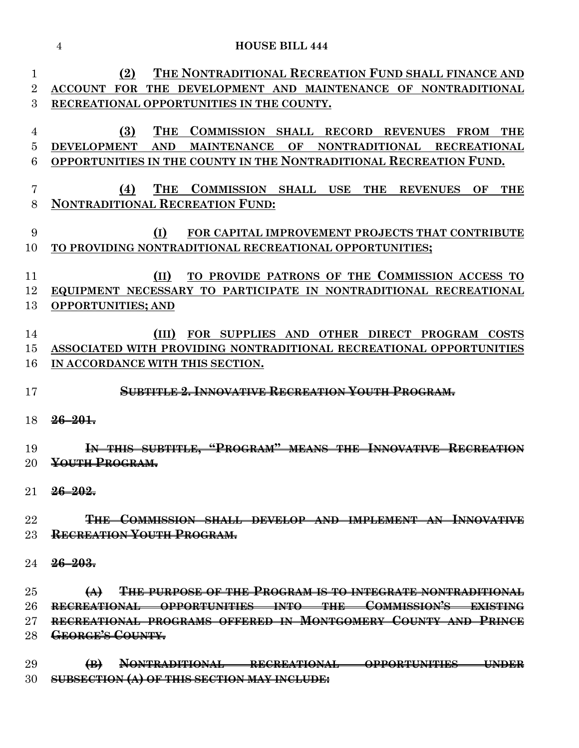|                          | <b>HOUSE BILL 444</b><br>4                                                                                                                                                                                                                                                                |
|--------------------------|-------------------------------------------------------------------------------------------------------------------------------------------------------------------------------------------------------------------------------------------------------------------------------------------|
| 1<br>$\overline{2}$<br>3 | (2)<br>THE NONTRADITIONAL RECREATION FUND SHALL FINANCE AND<br><b>ACCOUNT FOR</b><br>DEVELOPMENT AND MAINTENANCE OF NONTRADITIONAL<br><b>THE</b><br>RECREATIONAL OPPORTUNITIES IN THE COUNTY.                                                                                             |
| 4<br>5<br>6              | (3)<br><b>THE</b><br><b>COMMISSION SHALL RECORD</b><br><b>REVENUES</b><br><b>FROM</b><br><b>THE</b><br><b>DEVELOPMENT</b><br><b>AND</b><br><b>MAINTENANCE</b><br>OF<br><b>NONTRADITIONAL</b><br><b>RECREATIONAL</b><br>OPPORTUNITIES IN THE COUNTY IN THE NONTRADITIONAL RECREATION FUND. |
| 7<br>8                   | <b>THE</b><br>(4)<br><b>COMMISSION SHALL USE</b><br><b>THE</b><br>OF<br><b>THE</b><br><b>REVENUES</b><br><b>NONTRADITIONAL RECREATION FUND:</b>                                                                                                                                           |
| 9<br>10                  | (I)<br>FOR CAPITAL IMPROVEMENT PROJECTS THAT CONTRIBUTE<br>TO PROVIDING NONTRADITIONAL RECREATIONAL OPPORTUNITIES;                                                                                                                                                                        |
| 11<br>12<br>13           | TO PROVIDE PATRONS OF THE COMMISSION ACCESS TO<br>(II)<br>EQUIPMENT NECESSARY TO PARTICIPATE IN NONTRADITIONAL RECREATIONAL<br><b>OPPORTUNITIES; AND</b>                                                                                                                                  |
| 14<br>15<br>16           | FOR SUPPLIES AND<br>OTHER DIRECT PROGRAM<br><b>COSTS</b><br>ASSOCIATED WITH PROVIDING NONTRADITIONAL RECREATIONAL OPPORTUNITIES<br>IN ACCORDANCE WITH THIS SECTION.                                                                                                                       |
| 17<br>18                 | <b>SUBTITLE 2. INNOVATIVE RECREATION VOUTH PROGRAM.</b><br>$26 - 201$                                                                                                                                                                                                                     |
| 19<br>20                 | THIS SUBTITLE, "PROGRAM" MEANS<br><b>THE INNOVATIVE</b><br><u>Recreati</u><br>YOUTH PROGRAM.                                                                                                                                                                                              |
| 21                       | <del>26–202.</del>                                                                                                                                                                                                                                                                        |
| 22<br>23                 | THE COMMISSION SHALL DEVELOP AND IMPLEMENT AN INNOVATIVE<br><b>RECREATION YOUTH PROGRAM.</b>                                                                                                                                                                                              |
| 24                       | <del>26–203.</del>                                                                                                                                                                                                                                                                        |
| 25<br>26<br>27           | <b>THE PURPOSE OF THE PROGRAM IS TO INTEGRATE NONTRADITIONAL</b><br>(A)<br>RECREATIONAL OPPORTUNITIES INTO THE COMMISSION'S EXISTING<br>RECREATIONAL PROGRAMS OFFERED IN MONTGOMERY COUNTY AND PRINCE                                                                                     |

**GEORGE'S COUNTY.**

 **(B) NONTRADITIONAL RECREATIONAL OPPORTUNITIES UNDER SUBSECTION (A) OF THIS SECTION MAY INCLUDE:**